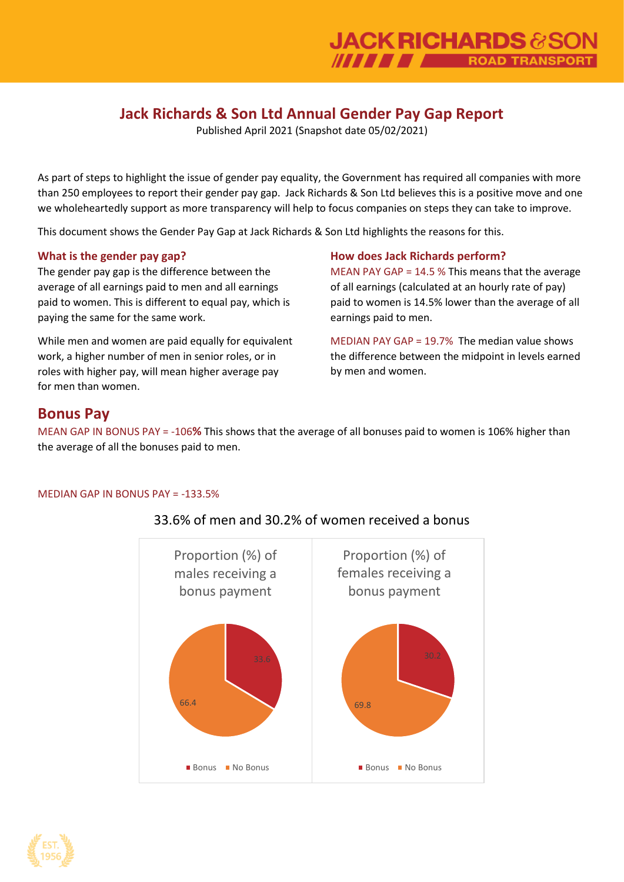# **Jack Richards & Son Ltd Annual Gender Pay Gap Report**

Published April 2021 (Snapshot date 05/02/2021)

As part of steps to highlight the issue of gender pay equality, the Government has required all companies with more than 250 employees to report their gender pay gap. Jack Richards & Son Ltd believes this is a positive move and one we wholeheartedly support as more transparency will help to focus companies on steps they can take to improve.

This document shows the Gender Pay Gap at Jack Richards & Son Ltd highlights the reasons for this.

### **What is the gender pay gap?**

The gender pay gap is the difference between the average of all earnings paid to men and all earnings paid to women. This is different to equal pay, which is paying the same for the same work.

While men and women are paid equally for equivalent work, a higher number of men in senior roles, or in roles with higher pay, will mean higher average pay for men than women.

### **How does Jack Richards perform?**

MEAN PAY GAP = 14.5 % This means that the average of all earnings (calculated at an hourly rate of pay) paid to women is 14.5% lower than the average of all earnings paid to men.

MEDIAN PAY GAP = 19.7% The median value shows the difference between the midpoint in levels earned by men and women.

## **Bonus Pay**

MEAN GAP IN BONUS PAY = -106**%** This shows that the average of all bonuses paid to women is 106% higher than the average of all the bonuses paid to men.

#### MEDIAN GAP IN BONUS PAY = -133.5%



## 33.6% of men and 30.2% of women received a bonus